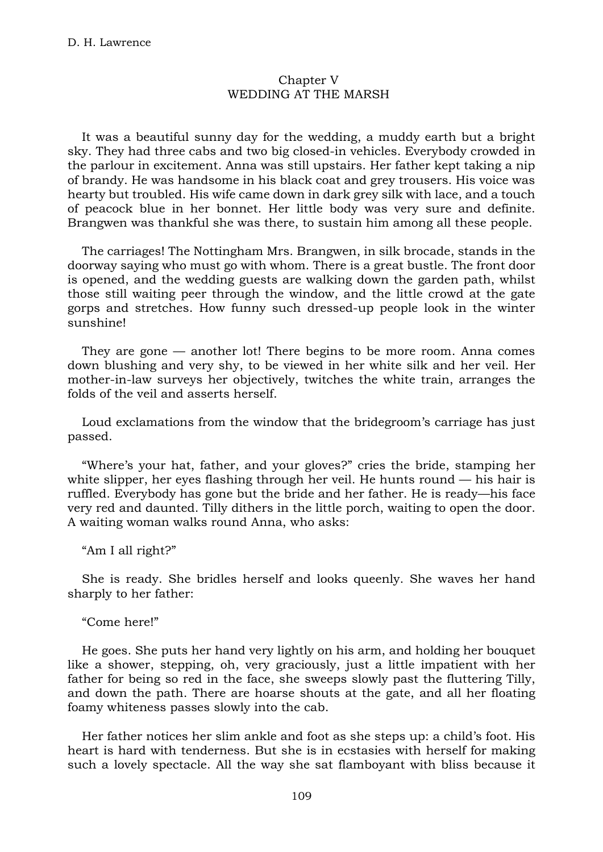## Chapter V WEDDING AT THE MARSH

It was a beautiful sunny day for the wedding, a muddy earth but a bright sky. They had three cabs and two big closed-in vehicles. Everybody crowded in the parlour in excitement. Anna was still upstairs. Her father kept taking a nip of brandy. He was handsome in his black coat and grey trousers. His voice was hearty but troubled. His wife came down in dark grey silk with lace, and a touch of peacock blue in her bonnet. Her little body was very sure and definite. Brangwen was thankful she was there, to sustain him among all these people.

The carriages! The Nottingham Mrs. Brangwen, in silk brocade, stands in the doorway saying who must go with whom. There is a great bustle. The front door is opened, and the wedding guests are walking down the garden path, whilst those still waiting peer through the window, and the little crowd at the gate gorps and stretches. How funny such dressed-up people look in the winter sunshine!

They are gone — another lot! There begins to be more room. Anna comes down blushing and very shy, to be viewed in her white silk and her veil. Her mother-in-law surveys her objectively, twitches the white train, arranges the folds of the veil and asserts herself.

Loud exclamations from the window that the bridegroom's carriage has just passed.

"Where's your hat, father, and your gloves?" cries the bride, stamping her white slipper, her eyes flashing through her veil. He hunts round — his hair is ruffled. Everybody has gone but the bride and her father. He is ready—his face very red and daunted. Tilly dithers in the little porch, waiting to open the door. A waiting woman walks round Anna, who asks:

"Am I all right?"

She is ready. She bridles herself and looks queenly. She waves her hand sharply to her father:

"Come here!"

He goes. She puts her hand very lightly on his arm, and holding her bouquet like a shower, stepping, oh, very graciously, just a little impatient with her father for being so red in the face, she sweeps slowly past the fluttering Tilly, and down the path. There are hoarse shouts at the gate, and all her floating foamy whiteness passes slowly into the cab.

Her father notices her slim ankle and foot as she steps up: a child's foot. His heart is hard with tenderness. But she is in ecstasies with herself for making such a lovely spectacle. All the way she sat flamboyant with bliss because it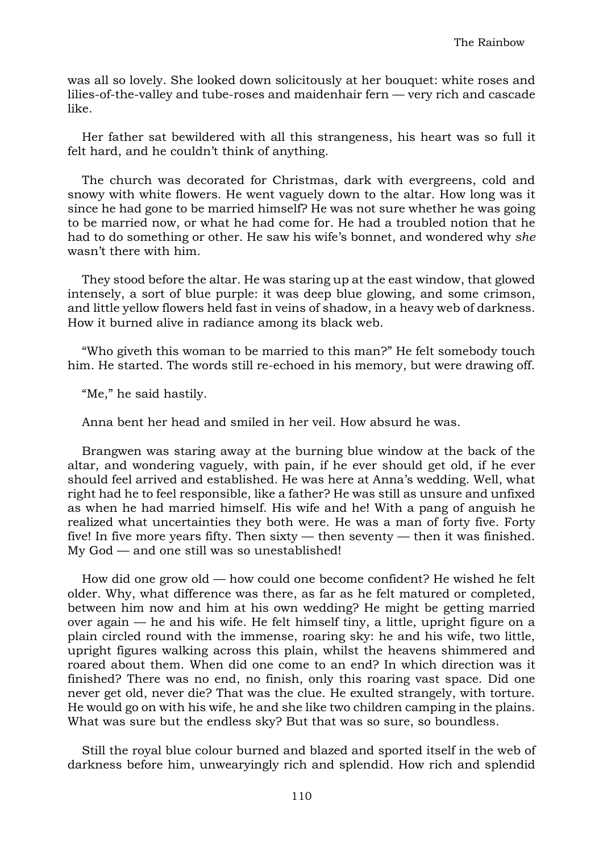was all so lovely. She looked down solicitously at her bouquet: white roses and lilies-of-the-valley and tube-roses and maidenhair fern — very rich and cascade like.

Her father sat bewildered with all this strangeness, his heart was so full it felt hard, and he couldn't think of anything.

The church was decorated for Christmas, dark with evergreens, cold and snowy with white flowers. He went vaguely down to the altar. How long was it since he had gone to be married himself? He was not sure whether he was going to be married now, or what he had come for. He had a troubled notion that he had to do something or other. He saw his wife's bonnet, and wondered why *she* wasn't there with him.

They stood before the altar. He was staring up at the east window, that glowed intensely, a sort of blue purple: it was deep blue glowing, and some crimson, and little yellow flowers held fast in veins of shadow, in a heavy web of darkness. How it burned alive in radiance among its black web.

"Who giveth this woman to be married to this man?" He felt somebody touch him. He started. The words still re-echoed in his memory, but were drawing off.

"Me," he said hastily.

Anna bent her head and smiled in her veil. How absurd he was.

Brangwen was staring away at the burning blue window at the back of the altar, and wondering vaguely, with pain, if he ever should get old, if he ever should feel arrived and established. He was here at Anna's wedding. Well, what right had he to feel responsible, like a father? He was still as unsure and unfixed as when he had married himself. His wife and he! With a pang of anguish he realized what uncertainties they both were. He was a man of forty five. Forty five! In five more years fifty. Then sixty — then seventy — then it was finished. My God — and one still was so unestablished!

How did one grow old — how could one become confident? He wished he felt older. Why, what difference was there, as far as he felt matured or completed, between him now and him at his own wedding? He might be getting married over again — he and his wife. He felt himself tiny, a little, upright figure on a plain circled round with the immense, roaring sky: he and his wife, two little, upright figures walking across this plain, whilst the heavens shimmered and roared about them. When did one come to an end? In which direction was it finished? There was no end, no finish, only this roaring vast space. Did one never get old, never die? That was the clue. He exulted strangely, with torture. He would go on with his wife, he and she like two children camping in the plains. What was sure but the endless sky? But that was so sure, so boundless.

Still the royal blue colour burned and blazed and sported itself in the web of darkness before him, unwearyingly rich and splendid. How rich and splendid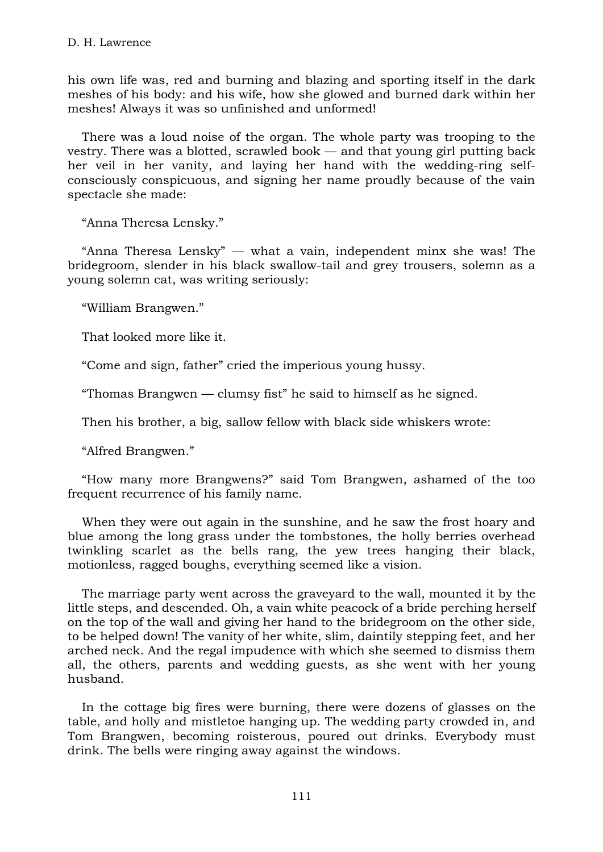his own life was, red and burning and blazing and sporting itself in the dark meshes of his body: and his wife, how she glowed and burned dark within her meshes! Always it was so unfinished and unformed!

There was a loud noise of the organ. The whole party was trooping to the vestry. There was a blotted, scrawled book — and that young girl putting back her veil in her vanity, and laying her hand with the wedding-ring selfconsciously conspicuous, and signing her name proudly because of the vain spectacle she made:

"Anna Theresa Lensky."

"Anna Theresa Lensky" — what a vain, independent minx she was! The bridegroom, slender in his black swallow-tail and grey trousers, solemn as a young solemn cat, was writing seriously:

"William Brangwen."

That looked more like it.

"Come and sign, father" cried the imperious young hussy.

"Thomas Brangwen — clumsy fist" he said to himself as he signed.

Then his brother, a big, sallow fellow with black side whiskers wrote:

"Alfred Brangwen."

"How many more Brangwens?" said Tom Brangwen, ashamed of the too frequent recurrence of his family name.

When they were out again in the sunshine, and he saw the frost hoary and blue among the long grass under the tombstones, the holly berries overhead twinkling scarlet as the bells rang, the yew trees hanging their black, motionless, ragged boughs, everything seemed like a vision.

The marriage party went across the graveyard to the wall, mounted it by the little steps, and descended. Oh, a vain white peacock of a bride perching herself on the top of the wall and giving her hand to the bridegroom on the other side, to be helped down! The vanity of her white, slim, daintily stepping feet, and her arched neck. And the regal impudence with which she seemed to dismiss them all, the others, parents and wedding guests, as she went with her young husband.

In the cottage big fires were burning, there were dozens of glasses on the table, and holly and mistletoe hanging up. The wedding party crowded in, and Tom Brangwen, becoming roisterous, poured out drinks. Everybody must drink. The bells were ringing away against the windows.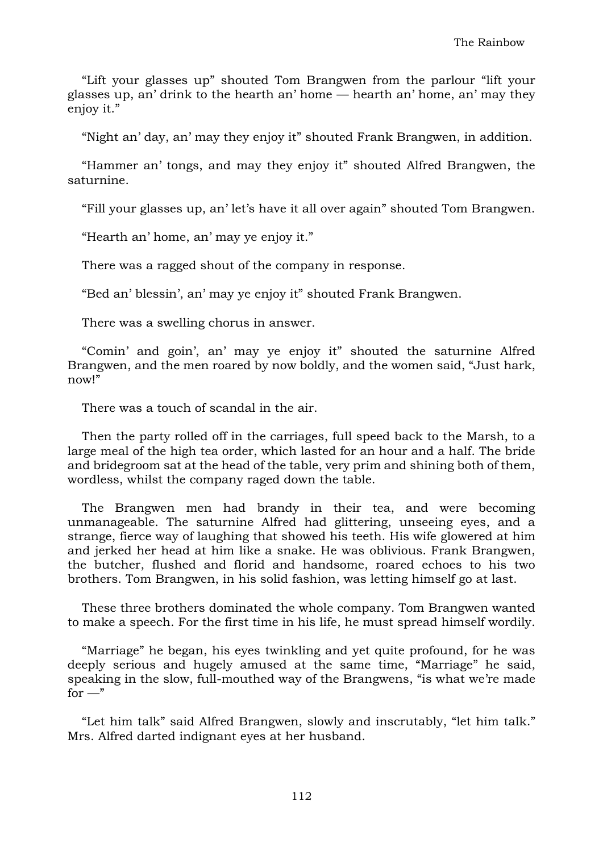"Lift your glasses up" shouted Tom Brangwen from the parlour "lift your glasses up, an' drink to the hearth an' home — hearth an' home, an' may they enjoy it."

"Night an' day, an' may they enjoy it" shouted Frank Brangwen, in addition.

"Hammer an' tongs, and may they enjoy it" shouted Alfred Brangwen, the saturnine.

"Fill your glasses up, an' let's have it all over again" shouted Tom Brangwen.

"Hearth an' home, an' may ye enjoy it."

There was a ragged shout of the company in response.

"Bed an' blessin', an' may ye enjoy it" shouted Frank Brangwen.

There was a swelling chorus in answer.

"Comin' and goin', an' may ye enjoy it" shouted the saturnine Alfred Brangwen, and the men roared by now boldly, and the women said, "Just hark, now!"

There was a touch of scandal in the air.

Then the party rolled off in the carriages, full speed back to the Marsh, to a large meal of the high tea order, which lasted for an hour and a half. The bride and bridegroom sat at the head of the table, very prim and shining both of them, wordless, whilst the company raged down the table.

The Brangwen men had brandy in their tea, and were becoming unmanageable. The saturnine Alfred had glittering, unseeing eyes, and a strange, fierce way of laughing that showed his teeth. His wife glowered at him and jerked her head at him like a snake. He was oblivious. Frank Brangwen, the butcher, flushed and florid and handsome, roared echoes to his two brothers. Tom Brangwen, in his solid fashion, was letting himself go at last.

These three brothers dominated the whole company. Tom Brangwen wanted to make a speech. For the first time in his life, he must spread himself wordily.

"Marriage" he began, his eyes twinkling and yet quite profound, for he was deeply serious and hugely amused at the same time, "Marriage" he said, speaking in the slow, full-mouthed way of the Brangwens, "is what we're made  $for -"$ 

"Let him talk" said Alfred Brangwen, slowly and inscrutably, "let him talk." Mrs. Alfred darted indignant eyes at her husband.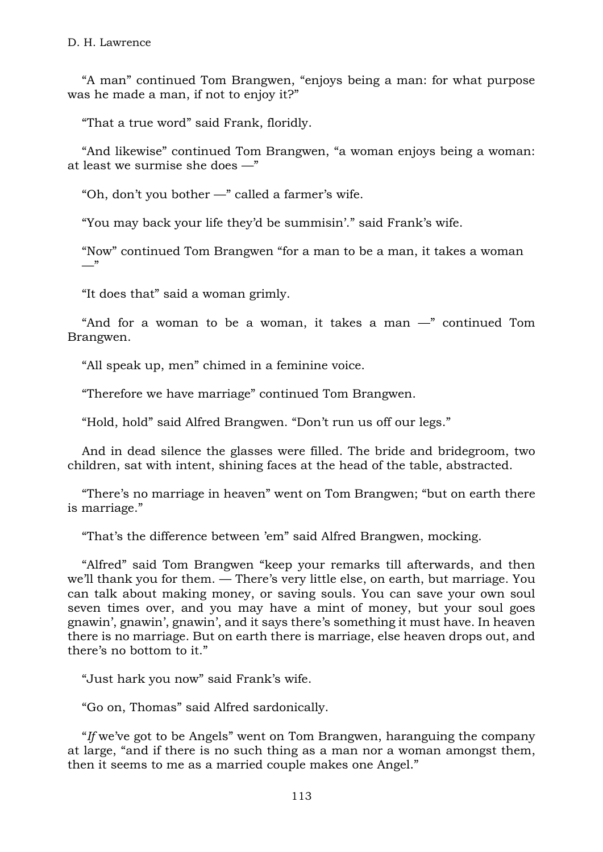"A man" continued Tom Brangwen, "enjoys being a man: for what purpose was he made a man, if not to enjoy it?"

"That a true word" said Frank, floridly.

"And likewise" continued Tom Brangwen, "a woman enjoys being a woman: at least we surmise she does —"

"Oh, don't you bother —" called a farmer's wife.

"You may back your life they'd be summisin'." said Frank's wife.

"Now" continued Tom Brangwen "for a man to be a man, it takes a woman  $\overline{\phantom{0}}$ 

"It does that" said a woman grimly.

"And for a woman to be a woman, it takes a man  $-$ " continued Tom Brangwen.

"All speak up, men" chimed in a feminine voice.

"Therefore we have marriage" continued Tom Brangwen.

"Hold, hold" said Alfred Brangwen. "Don't run us off our legs."

And in dead silence the glasses were filled. The bride and bridegroom, two children, sat with intent, shining faces at the head of the table, abstracted.

"There's no marriage in heaven" went on Tom Brangwen; "but on earth there is marriage."

"That's the difference between 'em" said Alfred Brangwen, mocking.

"Alfred" said Tom Brangwen "keep your remarks till afterwards, and then we'll thank you for them. — There's very little else, on earth, but marriage. You can talk about making money, or saving souls. You can save your own soul seven times over, and you may have a mint of money, but your soul goes gnawin', gnawin', gnawin', and it says there's something it must have. In heaven there is no marriage. But on earth there is marriage, else heaven drops out, and there's no bottom to it."

"Just hark you now" said Frank's wife.

"Go on, Thomas" said Alfred sardonically.

"*If* we've got to be Angels" went on Tom Brangwen, haranguing the company at large, "and if there is no such thing as a man nor a woman amongst them, then it seems to me as a married couple makes one Angel."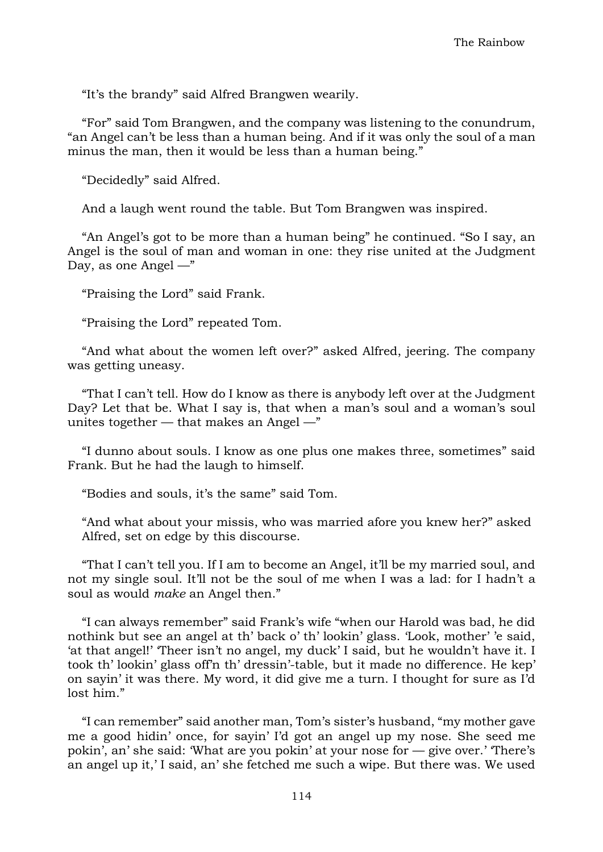"It's the brandy" said Alfred Brangwen wearily.

"For" said Tom Brangwen, and the company was listening to the conundrum, "an Angel can't be less than a human being. And if it was only the soul of a man minus the man, then it would be less than a human being."

"Decidedly" said Alfred.

And a laugh went round the table. But Tom Brangwen was inspired.

"An Angel's got to be more than a human being" he continued. "So I say, an Angel is the soul of man and woman in one: they rise united at the Judgment Day, as one Angel  $-\frac{1}{x}$ 

"Praising the Lord" said Frank.

"Praising the Lord" repeated Tom.

"And what about the women left over?" asked Alfred, jeering. The company was getting uneasy.

"That I can't tell. How do I know as there is anybody left over at the Judgment Day? Let that be. What I say is, that when a man's soul and a woman's soul unites together  $-$  that makes an Angel  $-$ "

"I dunno about souls. I know as one plus one makes three, sometimes" said Frank. But he had the laugh to himself.

"Bodies and souls, it's the same" said Tom.

"And what about your missis, who was married afore you knew her?" asked Alfred, set on edge by this discourse.

"That I can't tell you. If I am to become an Angel, it'll be my married soul, and not my single soul. It'll not be the soul of me when I was a lad: for I hadn't a soul as would *make* an Angel then."

"I can always remember" said Frank's wife "when our Harold was bad, he did nothink but see an angel at th' back o' th' lookin' glass. 'Look, mother' 'e said, 'at that angel!' 'Theer isn't no angel, my duck' I said, but he wouldn't have it. I took th' lookin' glass off'n th' dressin'-table, but it made no difference. He kep' on sayin' it was there. My word, it did give me a turn. I thought for sure as I'd lost him."

"I can remember" said another man, Tom's sister's husband, "my mother gave me a good hidin' once, for sayin' I'd got an angel up my nose. She seed me pokin', an' she said: 'What are you pokin' at your nose for — give over.' 'There's an angel up it,' I said, an' she fetched me such a wipe. But there was. We used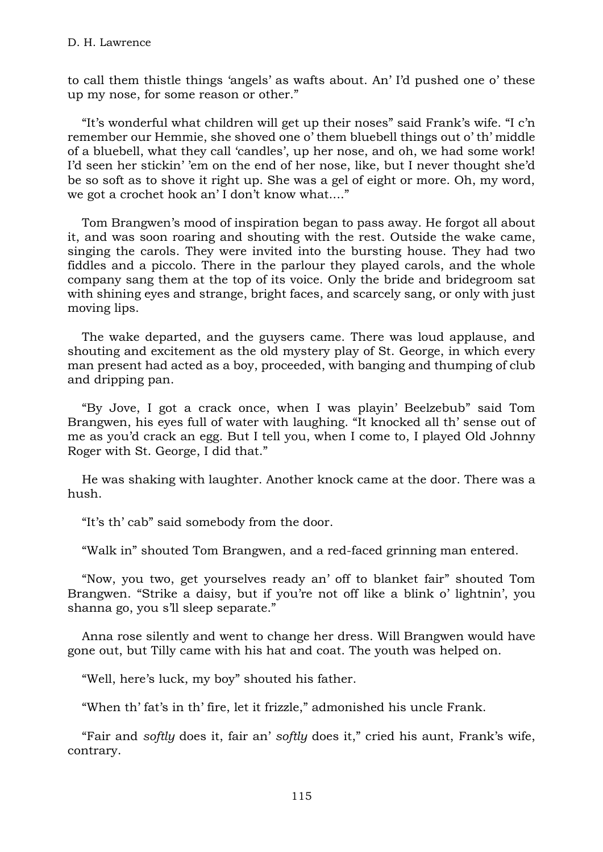to call them thistle things 'angels' as wafts about. An' I'd pushed one o' these up my nose, for some reason or other."

"It's wonderful what children will get up their noses" said Frank's wife. "I c'n remember our Hemmie, she shoved one o' them bluebell things out o' th' middle of a bluebell, what they call 'candles', up her nose, and oh, we had some work! I'd seen her stickin' 'em on the end of her nose, like, but I never thought she'd be so soft as to shove it right up. She was a gel of eight or more. Oh, my word, we got a crochet hook an' I don't know what...."

Tom Brangwen's mood of inspiration began to pass away. He forgot all about it, and was soon roaring and shouting with the rest. Outside the wake came, singing the carols. They were invited into the bursting house. They had two fiddles and a piccolo. There in the parlour they played carols, and the whole company sang them at the top of its voice. Only the bride and bridegroom sat with shining eyes and strange, bright faces, and scarcely sang, or only with just moving lips.

The wake departed, and the guysers came. There was loud applause, and shouting and excitement as the old mystery play of St. George, in which every man present had acted as a boy, proceeded, with banging and thumping of club and dripping pan.

"By Jove, I got a crack once, when I was playin' Beelzebub" said Tom Brangwen, his eyes full of water with laughing. "It knocked all th' sense out of me as you'd crack an egg. But I tell you, when I come to, I played Old Johnny Roger with St. George, I did that."

He was shaking with laughter. Another knock came at the door. There was a hush.

"It's th' cab" said somebody from the door.

"Walk in" shouted Tom Brangwen, and a red-faced grinning man entered.

"Now, you two, get yourselves ready an' off to blanket fair" shouted Tom Brangwen. "Strike a daisy, but if you're not off like a blink o' lightnin', you shanna go, you s'll sleep separate."

Anna rose silently and went to change her dress. Will Brangwen would have gone out, but Tilly came with his hat and coat. The youth was helped on.

"Well, here's luck, my boy" shouted his father.

"When th' fat's in th' fire, let it frizzle," admonished his uncle Frank.

"Fair and *softly* does it, fair an' *softly* does it," cried his aunt, Frank's wife, contrary.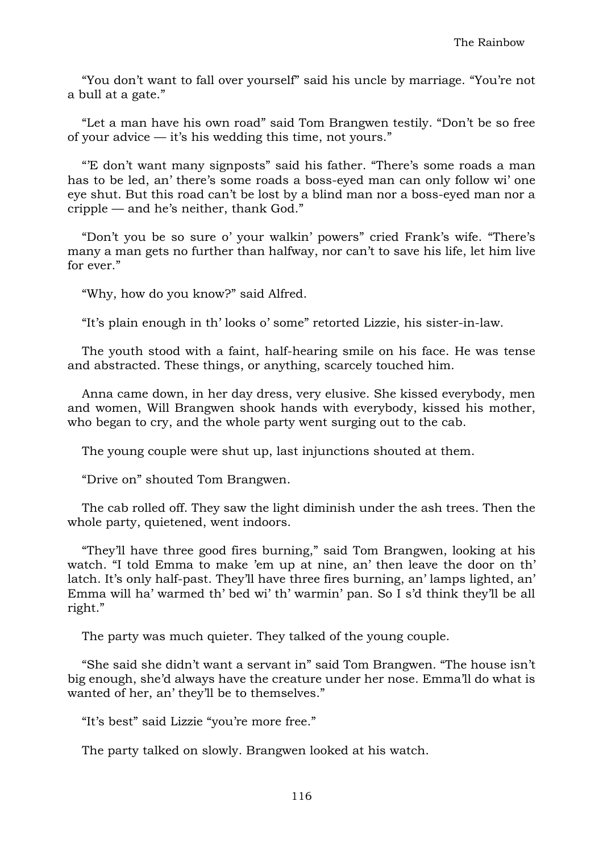"You don't want to fall over yourself" said his uncle by marriage. "You're not a bull at a gate."

"Let a man have his own road" said Tom Brangwen testily. "Don't be so free of your advice — it's his wedding this time, not yours."

"'E don't want many signposts" said his father. "There's some roads a man has to be led, an' there's some roads a boss-eyed man can only follow wi' one eye shut. But this road can't be lost by a blind man nor a boss-eyed man nor a cripple — and he's neither, thank God."

"Don't you be so sure o' your walkin' powers" cried Frank's wife. "There's many a man gets no further than halfway, nor can't to save his life, let him live for ever."

"Why, how do you know?" said Alfred.

"It's plain enough in th' looks o' some" retorted Lizzie, his sister-in-law.

The youth stood with a faint, half-hearing smile on his face. He was tense and abstracted. These things, or anything, scarcely touched him.

Anna came down, in her day dress, very elusive. She kissed everybody, men and women, Will Brangwen shook hands with everybody, kissed his mother, who began to cry, and the whole party went surging out to the cab.

The young couple were shut up, last injunctions shouted at them.

"Drive on" shouted Tom Brangwen.

The cab rolled off. They saw the light diminish under the ash trees. Then the whole party, quietened, went indoors.

"They'll have three good fires burning," said Tom Brangwen, looking at his watch. "I told Emma to make 'em up at nine, an' then leave the door on th' latch. It's only half-past. They'll have three fires burning, an' lamps lighted, an' Emma will ha' warmed th' bed wi' th' warmin' pan. So I s'd think they'll be all right."

The party was much quieter. They talked of the young couple.

"She said she didn't want a servant in" said Tom Brangwen. "The house isn't big enough, she'd always have the creature under her nose. Emma'll do what is wanted of her, an' they'll be to themselves."

"It's best" said Lizzie "you're more free."

The party talked on slowly. Brangwen looked at his watch.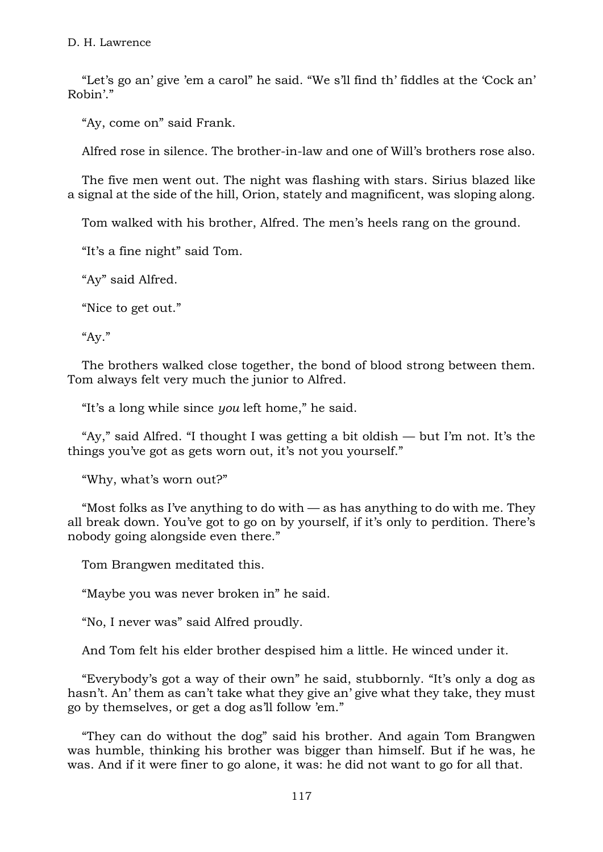"Let's go an' give 'em a carol" he said. "We s'll find th' fiddles at the 'Cock an' Robin'."

"Ay, come on" said Frank.

Alfred rose in silence. The brother-in-law and one of Will's brothers rose also.

The five men went out. The night was flashing with stars. Sirius blazed like a signal at the side of the hill, Orion, stately and magnificent, was sloping along.

Tom walked with his brother, Alfred. The men's heels rang on the ground.

"It's a fine night" said Tom.

"Ay" said Alfred.

"Nice to get out."

"Ay."

The brothers walked close together, the bond of blood strong between them. Tom always felt very much the junior to Alfred.

"It's a long while since *you* left home," he said.

"Ay," said Alfred. "I thought I was getting a bit oldish — but I'm not. It's the things you've got as gets worn out, it's not you yourself."

"Why, what's worn out?"

"Most folks as I've anything to do with — as has anything to do with me. They all break down. You've got to go on by yourself, if it's only to perdition. There's nobody going alongside even there."

Tom Brangwen meditated this.

"Maybe you was never broken in" he said.

"No, I never was" said Alfred proudly.

And Tom felt his elder brother despised him a little. He winced under it.

"Everybody's got a way of their own" he said, stubbornly. "It's only a dog as hasn't. An' them as can't take what they give an' give what they take, they must go by themselves, or get a dog as'll follow 'em."

"They can do without the dog" said his brother. And again Tom Brangwen was humble, thinking his brother was bigger than himself. But if he was, he was. And if it were finer to go alone, it was: he did not want to go for all that.